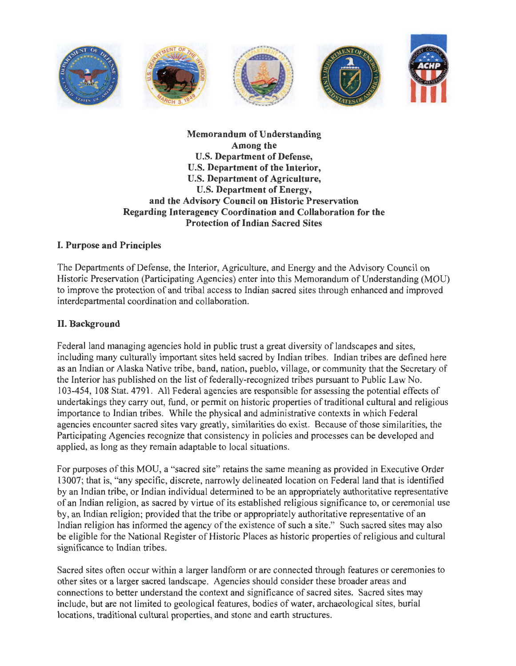

**Memorandum of Understanding Among the U.S. Department of Defense, U.S. Department of the Interior, U.S. Department of Agriculture, U.S. Department of Energy, and the Advisory Council on Historic Preservation Regarding Interagency Coordination and Collaboration for the Protection of Indian Sacred Sites** 

# **I. Purpose and Principles**

The Departments of Defense, the Interior, Agriculture, and Energy and the Advisory Council on Historic Preservation (Participating Agencies) enter into this Memorandum of Understanding (MOU) to improve the protection of and tribal access to Indian sacred sites through enhanced and improved interdepartmental coordination and collaboration.

### **II. Background**

Federal land managing agencies hold in public trust a great diversity of landscapes and sites, including many culturally important sites held sacred by Indian tribes. Indian tribes are defined here as an Indian or Alaska Native tribe, band, nation, pueblo, village, or community that the Secretary of the Interior has published on the list of federally-recognized tribes pursuant to Public Law No. 103-454, 108 Stat. 4791. All Federal agencies are responsible for assessing the potential effects of undertakings they carry out, fund, or permit on historic properties of traditional cultural and religious importance to Indian tribes. While the physical and administrative contexts in which Federal agencies encounter sacred sites vary greatly, similarities do exist. Because of those similarities, the Participating Agencies recognize that consistency in policies and processes can be developed and applied, as long as they remain adaptable to local situations.

For purposes of this MOU, a "sacred site" retains the same meaning as provided in Executive Order 13007; that is, "any specific, discrete, narrowly delineated location on Federal land that is identified by an Indian tribe, or Indian individual determined to be an appropriately authoritative representative of an Indian religion, as sacred by virtue of its established religious significance to, or ceremonial use by, an Indian religion; provided that the tribe or appropriately authoritative representative of an Indian religion has informed the agency of the existence of such a site." Such sacred sites may also be eligible for the National Register of Historic Places as historic properties of religious and cultural significance to Indian tribes.

Sacred sites often occur within a larger landform or are connected through features or ceremonies to other sites or a larger sacred landscape. Agencies should consider these broader areas and connections to better understand the context and significance of sacred sites. Sacred sites may include, but are not limited to geological features, bodies of water, archaeological sites, burial locations, traditional cultural properties, and stone and earth structures.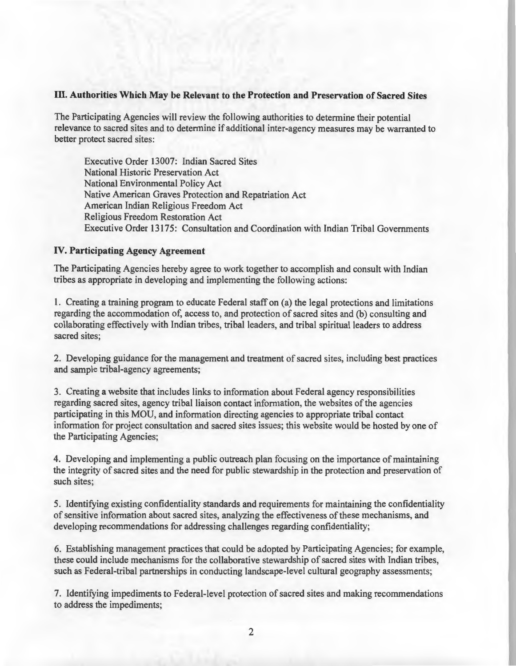#### **III. Authorities Which May be Relevant to the Protection and Preservation of Sacred Sites**

The Participating Agencies will review the following authorities to determine their potential relevance to sacred sites and to determine if additional inter-agency measures may be warranted to better protect sacred sites:

Executive Order 13007: Indian Sacred Sites National Historic Preservation Act National Environmental Policy Act Native American Graves Protection and Repatriation Act American Indian Religious Freedom Act Religious Freedom Restoration Act Executive Order 13175: Consultation and Coordination with Indian Tribal Governments

### **IV. Participating Agency Agreement**

The Participating Agencies hereby agree to work together to accomplish and consult with Indian tribes as appropriate in developing and implementing the following actions:

1. Creating a training program to educate Federal staff on (a) the legal protections and limitations regarding the accommodation of, access to, and protection of sacred sites and (b) consulting and collaborating effectively with Indian tribes, tribal leaders, and tribal spiritual leaders to address sacred sites;

2. Developing guidance for the management and treatment of sacred sites, including best practices and sample tribal-agency agreements;

3. Creating a website that includes links to information about Federal agency responsibilities regarding sacred sites, agency tribal liaison contact information, the websites of the agencies participating in this MOU, and information directing agencies to appropriate tribal contact information for project consultation and sacred sites issues; this website would be hosted by one of the Participating Agencies;

4. Developing and implementing a public outreach plan focusing on the importance of maintaining the integrity of sacred sites and the need for public stewardship in the protection and preservation of such sites;

5. Identifying existing confidentiality standards and requirements for maintaining the confidentiality of sensitive information about sacred sites, analyzing the effectiveness of these mechanisms, and developing recommendations for addressing challenges regarding confidentiality;

6. Establishing management practices that could be adopted by Participating Agencies; for example, these could include mechanisms for the collaborative stewardship of sacred sites with Indian tribes, such as Federal-tribal partnerships in conducting landscape-level cultural geography assessments;

7. Identifying impediments to Federal-level protection of sacred sites and making recommendations to address the impediments;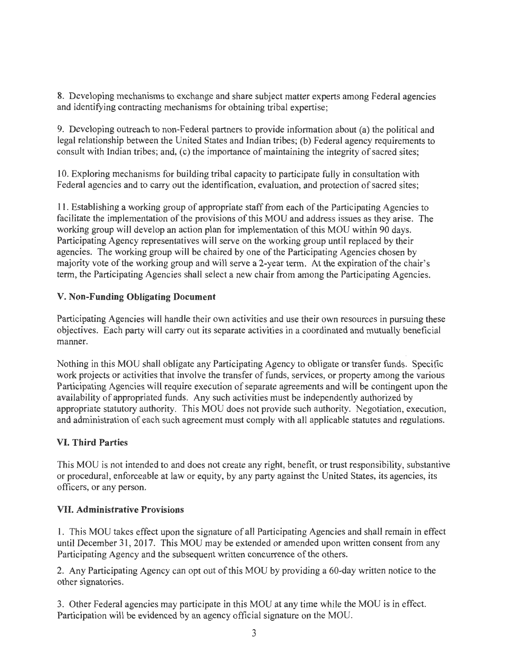8. Developing mechanisms to exchange and share subject matter experts among Federal agencies and identifying contracting mechanisms for obtaining tribal expertise;

9. Developing outreach to non-Federal partners to provide information about (a) the political and legal relationship between the United States and Indian tribes; (b) Federal agency requirements to consult with Indian tribes; and, (c) the importance of maintaining the integrity of sacred sites;

10. Exploring mechanisms for building tribal capacity to participate fully in consultation with Federal agencies and to carry out the identification, evaluation, and protection of sacred sites;

11. Establishing a working group of appropriate staff from each of the Participating Agencies to facilitate the implementation of the provisions of this MOU and address issues as they arise. The working group will develop an action plan for implementation of this MOU within 90 days. Participating Agency representatives will serve on the working group until replaced by their agencies. The working group will be chaired by one of the Participating Agencies chosen by majority vote of the working group and will serve a 2-year term. At the expiration of the chair's term, the Participating Agencies shall select a new chair from among the Participating Agencies.

### **V. Non-Funding Obligating Document**

Participating Agencies will handle their own activities and use their own resources in pursuing these objectives. Each party will carry out its separate activities in a coordinated and mutually beneficial manner.

Nothing in this MOU shall obligate any Participating Agency to obligate or transfer funds. Specific work projects or activities that involve the transfer of funds, services, or property among the various Participating Agencies will require execution of separate agreements and will be contingent upon the availability of appropriated funds. Any such activities must be independently authorized by appropriate statutory authority. This MOU does not provide such authority. Negotiation, execution, and administration of each such agreement must comply with all applicable statutes and regulations.

# **VI. Third Parties**

This MOU is not intended to and does not create any right, benefit, or trust responsibility, substantive or procedural, enforceable at law or equity, by any party against the United States, its agencies, its officers, or any person.

# VII. **Administrative Provisions**

1. This MOU takes effect upon the signature of all Participating Agencies and shall remain in effect until December 31, 2017. This MOU may be extended or amended upon written consent from any Participating Agency and the subsequent written concurrence of the others.

2. Any Participating Agency can opt out of this MOU by providing a 60-day written notice to the other signatories.

3. Other Federal agencies may participate in this MOU at any time while the MOU is in effect. Participation will be evidenced by an agency official signature on the MOU.